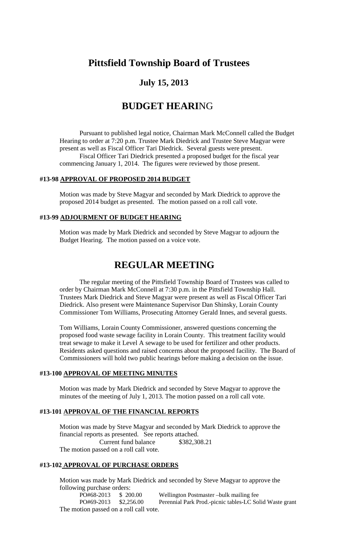# **Pittsfield Township Board of Trustees**

## **July 15, 2013**

# **BUDGET HEARI**NG

Pursuant to published legal notice, Chairman Mark McConnell called the Budget Hearing to order at 7:20 p.m. Trustee Mark Diedrick and Trustee Steve Magyar were present as well as Fiscal Officer Tari Diedrick. Several guests were present. Fiscal Officer Tari Diedrick presented a proposed budget for the fiscal year commencing January 1, 2014. The figures were reviewed by those present.

#### **#13-98 APPROVAL OF PROPOSED 2014 BUDGET**

Motion was made by Steve Magyar and seconded by Mark Diedrick to approve the proposed 2014 budget as presented. The motion passed on a roll call vote.

#### **#13-99 ADJOURMENT OF BUDGET HEARING**

Motion was made by Mark Diedrick and seconded by Steve Magyar to adjourn the Budget Hearing. The motion passed on a voice vote.

## **REGULAR MEETING**

The regular meeting of the Pittsfield Township Board of Trustees was called to order by Chairman Mark McConnell at 7:30 p.m. in the Pittsfield Township Hall. Trustees Mark Diedrick and Steve Magyar were present as well as Fiscal Officer Tari Diedrick. Also present were Maintenance Supervisor Dan Shinsky, Lorain County Commissioner Tom Williams, Prosecuting Attorney Gerald Innes, and several guests.

Tom Williams, Lorain County Commissioner, answered questions concerning the proposed food waste sewage facility in Lorain County. This treatment facility would treat sewage to make it Level A sewage to be used for fertilizer and other products. Residents asked questions and raised concerns about the proposed facility. The Board of Commissioners will hold two public hearings before making a decision on the issue.

## **#13-100 APPROVAL OF MEETING MINUTES**

Motion was made by Mark Diedrick and seconded by Steve Magyar to approve the minutes of the meeting of July 1, 2013. The motion passed on a roll call vote.

#### **#13-101 APPROVAL OF THE FINANCIAL REPORTS**

Motion was made by Steve Magyar and seconded by Mark Diedrick to approve the financial reports as presented. See reports attached. Current fund balance \$382,308.21 The motion passed on a roll call vote.

## **#13-102 APPROVAL OF PURCHASE ORDERS**

Motion was made by Mark Diedrick and seconded by Steve Magyar to approve the following purchase orders:

PO#68-2013 \$ 200.00 Wellington Postmaster –bulk mailing fee PO#69-2013 \$2,256.00 Perennial Park Prod.-picnic tables-LC Solid Waste grant The motion passed on a roll call vote.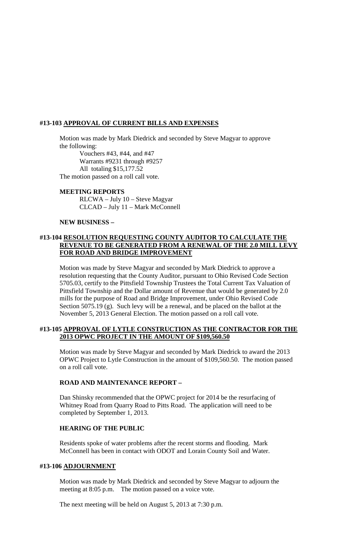#### **#13-103 APPROVAL OF CURRENT BILLS AND EXPENSES**

Motion was made by Mark Diedrick and seconded by Steve Magyar to approve the following:

Vouchers #43, #44, and #47 Warrants #9231 through #9257 All totaling \$15,177.52 The motion passed on a roll call vote.

#### **MEETING REPORTS**

RLCWA – July 10 – Steve Magyar CLCAD – July 11 – Mark McConnell

#### **NEW BUSINESS –**

#### **#13-104 RESOLUTION REQUESTING COUNTY AUDITOR TO CALCULATE THE REVENUE TO BE GENERATED FROM A RENEWAL OF THE 2.0 MILL LEVY FOR ROAD AND BRIDGE IMPROVEMENT**

Motion was made by Steve Magyar and seconded by Mark Diedrick to approve a resolution requesting that the County Auditor, pursuant to Ohio Revised Code Section 5705.03, certify to the Pittsfield Township Trustees the Total Current Tax Valuation of Pittsfield Township and the Dollar amount of Revenue that would be generated by 2.0 mills for the purpose of Road and Bridge Improvement, under Ohio Revised Code Section 5075.19 (g). Such levy will be a renewal, and be placed on the ballot at the November 5, 2013 General Election. The motion passed on a roll call vote.

#### **#13-105 APPROVAL OF LYTLE CONSTRUCTION AS THE CONTRACTOR FOR THE 2013 OPWC PROJECT IN THE AMOUNT OF \$109,560.50**

Motion was made by Steve Magyar and seconded by Mark Diedrick to award the 2013 OPWC Project to Lytle Construction in the amount of \$109,560.50. The motion passed on a roll call vote.

#### **ROAD AND MAINTENANCE REPORT –**

Dan Shinsky recommended that the OPWC project for 2014 be the resurfacing of Whitney Road from Quarry Road to Pitts Road. The application will need to be completed by September 1, 2013.

## **HEARING OF THE PUBLIC**

Residents spoke of water problems after the recent storms and flooding. Mark McConnell has been in contact with ODOT and Lorain County Soil and Water.

#### **#13-106 ADJOURNMENT**

Motion was made by Mark Diedrick and seconded by Steve Magyar to adjourn the meeting at 8:05 p.m. The motion passed on a voice vote.

The next meeting will be held on August 5, 2013 at 7:30 p.m.